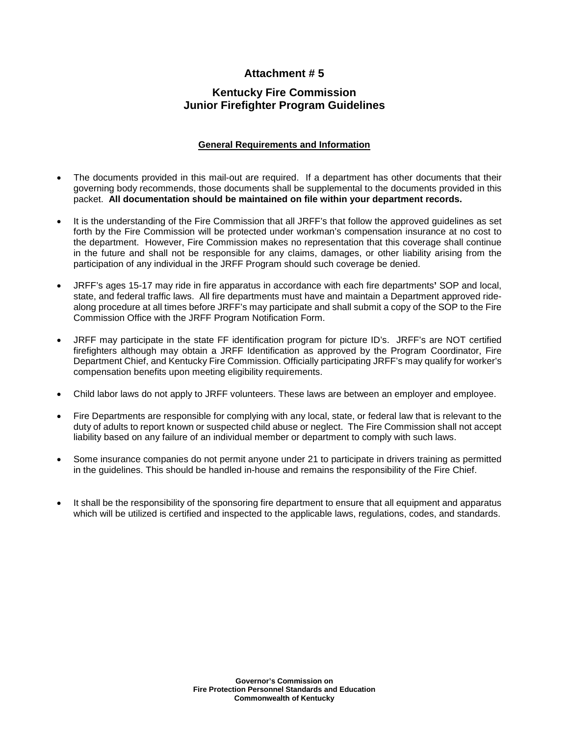## **Attachment # 5**

# **Kentucky Fire Commission Junior Firefighter Program Guidelines**

### **General Requirements and Information**

- The documents provided in this mail-out are required. If a department has other documents that their governing body recommends, those documents shall be supplemental to the documents provided in this packet. **All documentation should be maintained on file within your department records.**
- It is the understanding of the Fire Commission that all JRFF's that follow the approved guidelines as set forth by the Fire Commission will be protected under workman's compensation insurance at no cost to the department. However, Fire Commission makes no representation that this coverage shall continue in the future and shall not be responsible for any claims, damages, or other liability arising from the participation of any individual in the JRFF Program should such coverage be denied.
- JRFF's ages 15-17 may ride in fire apparatus in accordance with each fire departments**'** SOP and local, state, and federal traffic laws. All fire departments must have and maintain a Department approved ridealong procedure at all times before JRFF's may participate and shall submit a copy of the SOP to the Fire Commission Office with the JRFF Program Notification Form.
- JRFF may participate in the state FF identification program for picture ID's. JRFF's are NOT certified firefighters although may obtain a JRFF Identification as approved by the Program Coordinator, Fire Department Chief, and Kentucky Fire Commission. Officially participating JRFF's may qualify for worker's compensation benefits upon meeting eligibility requirements.
- Child labor laws do not apply to JRFF volunteers. These laws are between an employer and employee.
- Fire Departments are responsible for complying with any local, state, or federal law that is relevant to the duty of adults to report known or suspected child abuse or neglect. The Fire Commission shall not accept liability based on any failure of an individual member or department to comply with such laws.
- Some insurance companies do not permit anyone under 21 to participate in drivers training as permitted in the guidelines. This should be handled in-house and remains the responsibility of the Fire Chief.
- It shall be the responsibility of the sponsoring fire department to ensure that all equipment and apparatus which will be utilized is certified and inspected to the applicable laws, regulations, codes, and standards.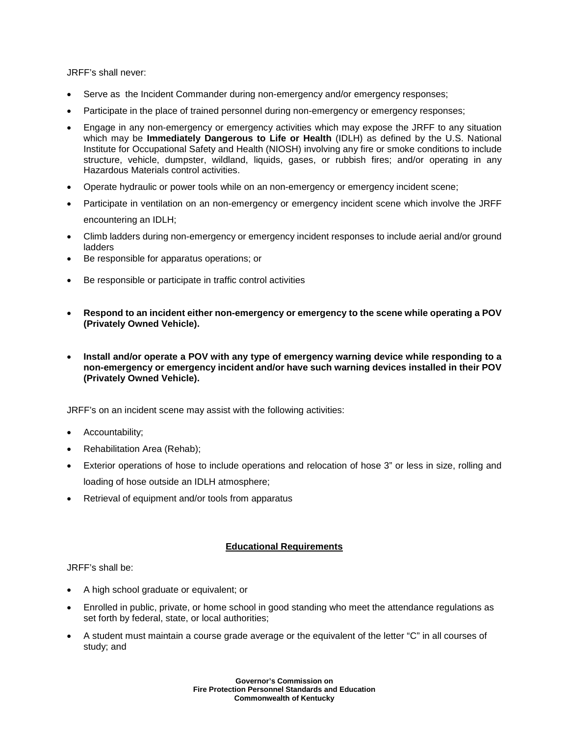JRFF's shall never:

- Serve as the Incident Commander during non-emergency and/or emergency responses;
- Participate in the place of trained personnel during non-emergency or emergency responses;
- Engage in any non-emergency or emergency activities which may expose the JRFF to any situation which may be **Immediately Dangerous to Life or Health** (IDLH) as defined by the U.S. National Institute for Occupational Safety and Health (NIOSH) involving any fire or smoke conditions to include structure, vehicle, dumpster, wildland, liquids, gases, or rubbish fires; and/or operating in any Hazardous Materials control activities.
- Operate hydraulic or power tools while on an non-emergency or emergency incident scene;
- Participate in ventilation on an non-emergency or emergency incident scene which involve the JRFF encountering an IDLH;
- Climb ladders during non-emergency or emergency incident responses to include aerial and/or ground ladders
- Be responsible for apparatus operations; or
- Be responsible or participate in traffic control activities
- **Respond to an incident either non-emergency or emergency to the scene while operating a POV (Privately Owned Vehicle).**
- **Install and/or operate a POV with any type of emergency warning device while responding to a non-emergency or emergency incident and/or have such warning devices installed in their POV (Privately Owned Vehicle).**

JRFF's on an incident scene may assist with the following activities:

- Accountability;
- Rehabilitation Area (Rehab);
- Exterior operations of hose to include operations and relocation of hose 3" or less in size, rolling and loading of hose outside an IDLH atmosphere;
- Retrieval of equipment and/or tools from apparatus

#### **Educational Requirements**

JRFF's shall be:

- A high school graduate or equivalent; or
- Enrolled in public, private, or home school in good standing who meet the attendance regulations as set forth by federal, state, or local authorities;
- A student must maintain a course grade average or the equivalent of the letter "C" in all courses of study; and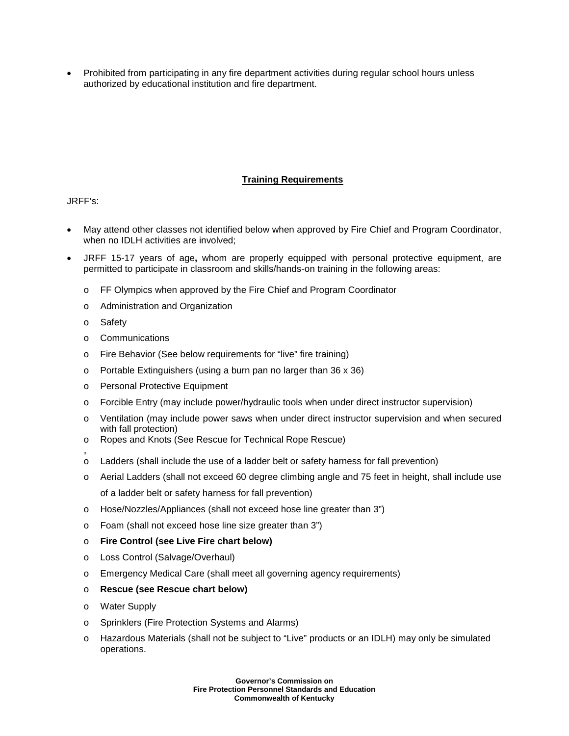• Prohibited from participating in any fire department activities during regular school hours unless authorized by educational institution and fire department.

## **Training Requirements**

JRFF's:

- May attend other classes not identified below when approved by Fire Chief and Program Coordinator, when no IDLH activities are involved;
- JRFF 15-17 years of age**,** whom are properly equipped with personal protective equipment, are permitted to participate in classroom and skills/hands-on training in the following areas:
	- o FF Olympics when approved by the Fire Chief and Program Coordinator
	- o Administration and Organization
	- o Safety
	- o Communications
	- o Fire Behavior (See below requirements for "live" fire training)
	- o Portable Extinguishers (using a burn pan no larger than 36 x 36)
	- o Personal Protective Equipment
	- o Forcible Entry (may include power/hydraulic tools when under direct instructor supervision)
	- o Ventilation (may include power saws when under direct instructor supervision and when secured with fall protection)
	- o Ropes and Knots (See Rescue for Technical Rope Rescue)
	- o o Ladders (shall include the use of a ladder belt or safety harness for fall prevention)
	- o Aerial Ladders (shall not exceed 60 degree climbing angle and 75 feet in height, shall include use of a ladder belt or safety harness for fall prevention)
	- o Hose/Nozzles/Appliances (shall not exceed hose line greater than 3")
	- o Foam (shall not exceed hose line size greater than 3")
	- o **Fire Control (see Live Fire chart below)**
	- o Loss Control (Salvage/Overhaul)
	- o Emergency Medical Care (shall meet all governing agency requirements)
	- o **Rescue (see Rescue chart below)**
	- o Water Supply
	- o Sprinklers (Fire Protection Systems and Alarms)
	- o Hazardous Materials (shall not be subject to "Live" products or an IDLH) may only be simulated operations.

**Governor's Commission on Fire Protection Personnel Standards and Education Commonwealth of Kentucky**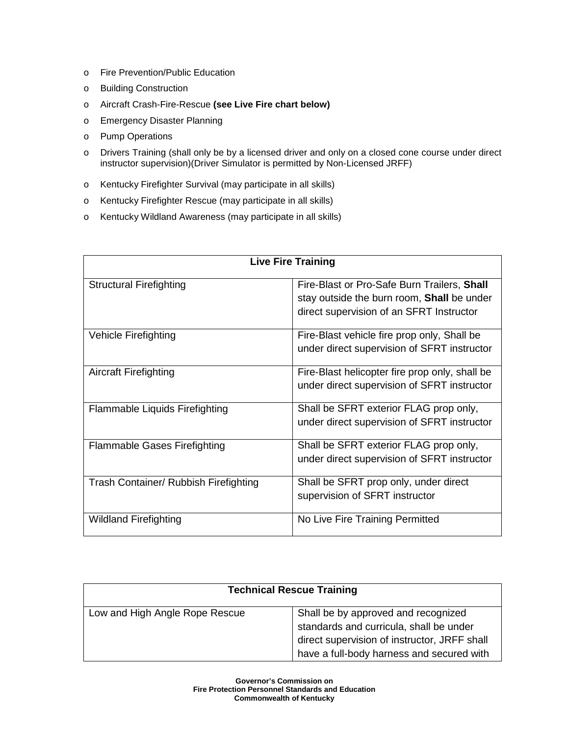- o Fire Prevention/Public Education
- o Building Construction
- o Aircraft Crash-Fire-Rescue **(see Live Fire chart below)**
- o Emergency Disaster Planning
- o Pump Operations
- o Drivers Training (shall only be by a licensed driver and only on a closed cone course under direct instructor supervision)(Driver Simulator is permitted by Non-Licensed JRFF)
- o Kentucky Firefighter Survival (may participate in all skills)
- o Kentucky Firefighter Rescue (may participate in all skills)
- o Kentucky Wildland Awareness (may participate in all skills)

| <b>Live Fire Training</b>             |                                                                                                                                       |  |  |  |
|---------------------------------------|---------------------------------------------------------------------------------------------------------------------------------------|--|--|--|
| <b>Structural Firefighting</b>        | Fire-Blast or Pro-Safe Burn Trailers, Shall<br>stay outside the burn room, Shall be under<br>direct supervision of an SFRT Instructor |  |  |  |
| Vehicle Firefighting                  | Fire-Blast vehicle fire prop only, Shall be<br>under direct supervision of SFRT instructor                                            |  |  |  |
| <b>Aircraft Firefighting</b>          | Fire-Blast helicopter fire prop only, shall be<br>under direct supervision of SFRT instructor                                         |  |  |  |
| <b>Flammable Liquids Firefighting</b> | Shall be SFRT exterior FLAG prop only,<br>under direct supervision of SFRT instructor                                                 |  |  |  |
| <b>Flammable Gases Firefighting</b>   | Shall be SFRT exterior FLAG prop only,<br>under direct supervision of SFRT instructor                                                 |  |  |  |
| Trash Container/ Rubbish Firefighting | Shall be SFRT prop only, under direct<br>supervision of SFRT instructor                                                               |  |  |  |
| Wildland Firefighting                 | No Live Fire Training Permitted                                                                                                       |  |  |  |

| <b>Technical Rescue Training</b> |                                                                                                                                                                             |  |
|----------------------------------|-----------------------------------------------------------------------------------------------------------------------------------------------------------------------------|--|
| Low and High Angle Rope Rescue   | Shall be by approved and recognized<br>standards and curricula, shall be under<br>direct supervision of instructor, JRFF shall<br>have a full-body harness and secured with |  |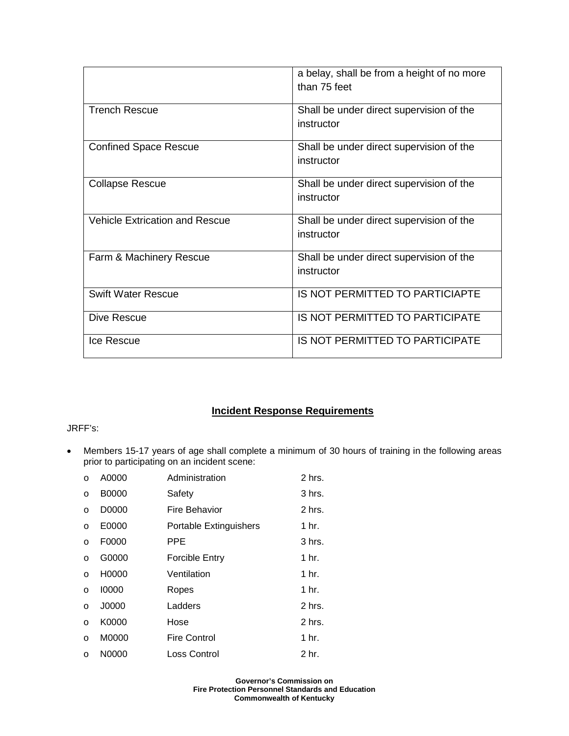|                                       | a belay, shall be from a height of no more |
|---------------------------------------|--------------------------------------------|
|                                       | than 75 feet                               |
|                                       |                                            |
| <b>Trench Rescue</b>                  | Shall be under direct supervision of the   |
|                                       | instructor                                 |
|                                       |                                            |
| <b>Confined Space Rescue</b>          | Shall be under direct supervision of the   |
|                                       | instructor                                 |
|                                       |                                            |
| <b>Collapse Rescue</b>                | Shall be under direct supervision of the   |
|                                       | instructor                                 |
|                                       |                                            |
| <b>Vehicle Extrication and Rescue</b> | Shall be under direct supervision of the   |
|                                       |                                            |
|                                       | instructor                                 |
|                                       |                                            |
| Farm & Machinery Rescue               | Shall be under direct supervision of the   |
|                                       | instructor                                 |
|                                       |                                            |
| <b>Swift Water Rescue</b>             | IS NOT PERMITTED TO PARTICIAPTE            |
|                                       |                                            |
| Dive Rescue                           | <b>IS NOT PERMITTED TO PARTICIPATE</b>     |
|                                       |                                            |
| Ice Rescue                            | <b>IS NOT PERMITTED TO PARTICIPATE</b>     |
|                                       |                                            |

# **Incident Response Requirements**

## JRFF's:

• Members 15-17 years of age shall complete a minimum of 30 hours of training in the following areas prior to participating on an incident scene:

| $\Omega$ | A0000        | Administration                | 2 hrs.           |
|----------|--------------|-------------------------------|------------------|
| $\circ$  | <b>B0000</b> | Safety                        | $3$ hrs.         |
| O        | D0000        | Fire Behavior                 | 2 hrs.           |
| $\Omega$ | E0000        | <b>Portable Extinguishers</b> | 1 hr.            |
| $\Omega$ | F0000        | PPE                           | 3 hrs.           |
| $\Omega$ | G0000        | Forcible Entry                | 1 hr.            |
| $\Omega$ | H0000        | Ventilation                   | 1 <sub>hr.</sub> |
| $\circ$  | 10000        | Ropes                         | 1 <sub>hr.</sub> |
| $\circ$  | J0000        | Ladders                       | 2 hrs.           |
| $\circ$  | K0000        | Hose                          | $2$ hrs.         |
| $\circ$  | M0000        | <b>Fire Control</b>           | 1 <sub>hr.</sub> |
| $\Omega$ | N0000        | Loss Control                  | 2 hr.            |